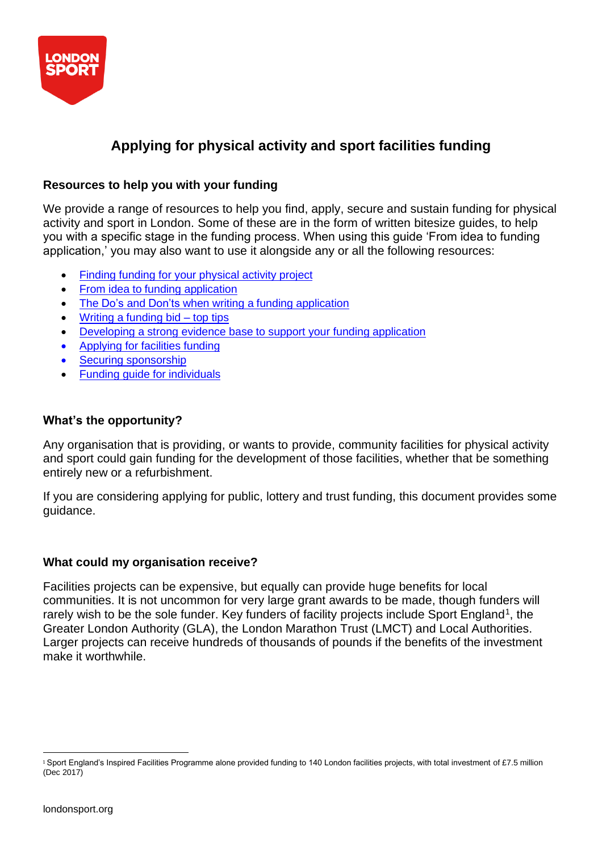

# **Applying for physical activity and sport facilities funding**

# **Resources to help you with your funding**

We provide a range of resources to help you find, apply, secure and sustain funding for physical activity and sport in London. Some of these are in the form of written bitesize guides, to help you with a specific stage in the funding process. When using this guide 'From idea to funding application,' you may also want to use it alongside any or all the following resources:

- Finding funding for your [physical](https://londonsport.org/search-for-funding/) activity project
- From idea to funding [application](https://londonsport.org/funding-support/)
- The Do's and Don'ts when writing a funding [application](https://londonsport.org/funding-support/)
- Writing a [funding](https://londonsport.org/funding-bids/)  $bid top tips$
- Developing a strong evidence base to [support your](https://londonsport.org/funding-support/) funding application
- [Applying](https://londonsport.org/funding-support/) for facilities funding
- Securing [sponsorship](https://londonsport.org/funding-support/)
- Funding guide for [individuals](https://londonsport.org/funding-support/)

# **What's the opportunity?**

Any organisation that is providing, or wants to provide, community facilities for physical activity and sport could gain funding for the development of those facilities, whether that be something entirely new or a refurbishment.

If you are considering applying for public, lottery and trust funding, this document provides some guidance.

## **What could my organisation receive?**

Facilities projects can be expensive, but equally can provide huge benefits for local communities. It is not uncommon for very large grant awards to be made, though funders will rarely wish to be the sole funder. Key funders of facility projects include Sport England<sup>1</sup>, the Greater London Authority (GLA), the London Marathon Trust (LMCT) and Local Authorities. Larger projects can receive hundreds of thousands of pounds if the benefits of the investment make it worthwhile.

<sup>1</sup>Sport England's Inspired Facilities Programme alone provided funding to 140 London facilities projects, with total investment of £7.5 million (Dec 2017)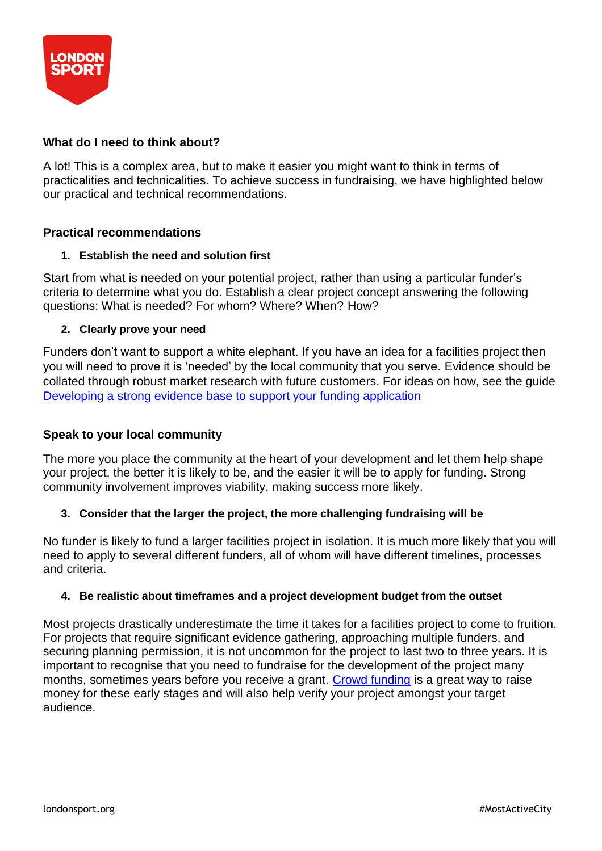

# **What do I need to think about?**

A lot! This is a complex area, but to make it easier you might want to think in terms of practicalities and technicalities. To achieve success in fundraising, we have highlighted below our practical and technical recommendations.

## **Practical recommendations**

#### **1. Establish the need and solution first**

Start from what is needed on your potential project, rather than using a particular funder's criteria to determine what you do. Establish a clear project concept answering the following questions: What is needed? For whom? Where? When? How?

### **2. Clearly prove your need**

Funders don't want to support a white elephant. If you have an idea for a facilities project then you will need to prove it is 'needed' by the local community that you serve. Evidence should be collated through robust market research with future customers. For ideas on how, see the guide [Developing](https://londonsport.org/funding-support/) a strong evidence base to support your funding application

## **Speak to your local community**

The more you place the community at the heart of your development and let them help shape your project, the better it is likely to be, and the easier it will be to apply for funding. Strong community involvement improves viability, making success more likely.

#### **3. Consider that the larger the project, the more challenging fundraising will be**

No funder is likely to fund a larger facilities project in isolation. It is much more likely that you will need to apply to several different funders, all of whom will have different timelines, processes and criteria.

#### **4. Be realistic about timeframes and a project development budget from the outset**

Most projects drastically underestimate the time it takes for a facilities project to come to fruition. For projects that require significant evidence gathering, approaching multiple funders, and securing planning permission, it is not uncommon for the project to last two to three years. It is important to recognise that you need to fundraise for the development of the project many months, sometimes years before you receive a grant. [Crowd funding](http://londonsport.org/raise-money-through-crowd-funding/) is a great way to raise money for these early stages and will also help verify your project amongst your target audience.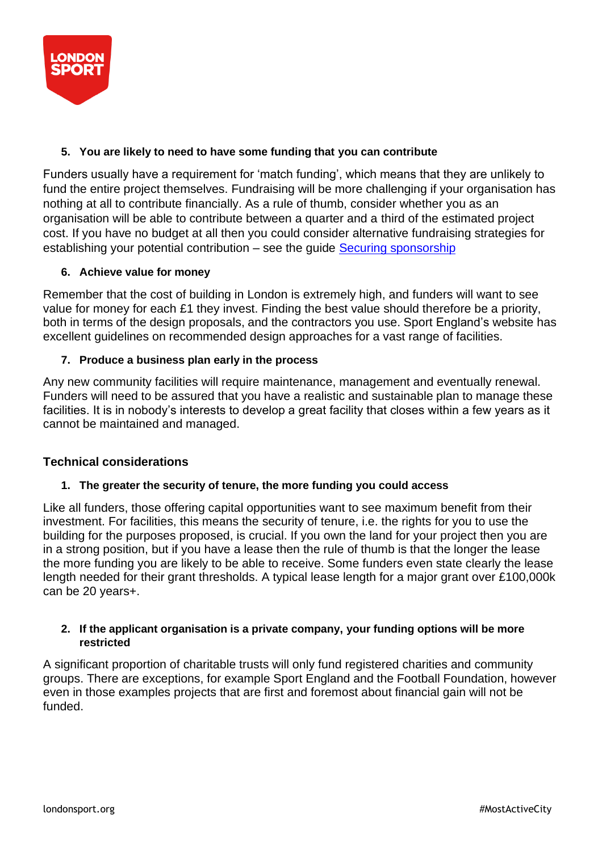

# **5. You are likely to need to have some funding that you can contribute**

Funders usually have a requirement for 'match funding', which means that they are unlikely to fund the entire project themselves. Fundraising will be more challenging if your organisation has nothing at all to contribute financially. As a rule of thumb, consider whether you as an organisation will be able to contribute between a quarter and a third of the estimated project cost. If you have no budget at all then you could consider alternative fundraising strategies for establishing your potential contribution – see the guide Securing [sponsorship](https://londonsport.org/funding-support/)

### **6. Achieve value for money**

Remember that the cost of building in London is extremely high, and funders will want to see value for money for each £1 they invest. Finding the best value should therefore be a priority, both in terms of the design proposals, and the contractors you use. Sport England's website has excellent guidelines on recommended design approaches for a vast range of facilities.

## **7. Produce a business plan early in the process**

Any new community facilities will require maintenance, management and eventually renewal. Funders will need to be assured that you have a realistic and sustainable plan to manage these facilities. It is in nobody's interests to develop a great facility that closes within a few years as it cannot be maintained and managed.

#### **Technical considerations**

#### **1. The greater the security of tenure, the more funding you could access**

Like all funders, those offering capital opportunities want to see maximum benefit from their investment. For facilities, this means the security of tenure, i.e. the rights for you to use the building for the purposes proposed, is crucial. If you own the land for your project then you are in a strong position, but if you have a lease then the rule of thumb is that the longer the lease the more funding you are likely to be able to receive. Some funders even state clearly the lease length needed for their grant thresholds. A typical lease length for a major grant over £100,000k can be 20 years+.

#### **2. If the applicant organisation is a private company, your funding options will be more restricted**

A significant proportion of charitable trusts will only fund registered charities and community groups. There are exceptions, for example Sport England and the Football Foundation, however even in those examples projects that are first and foremost about financial gain will not be funded.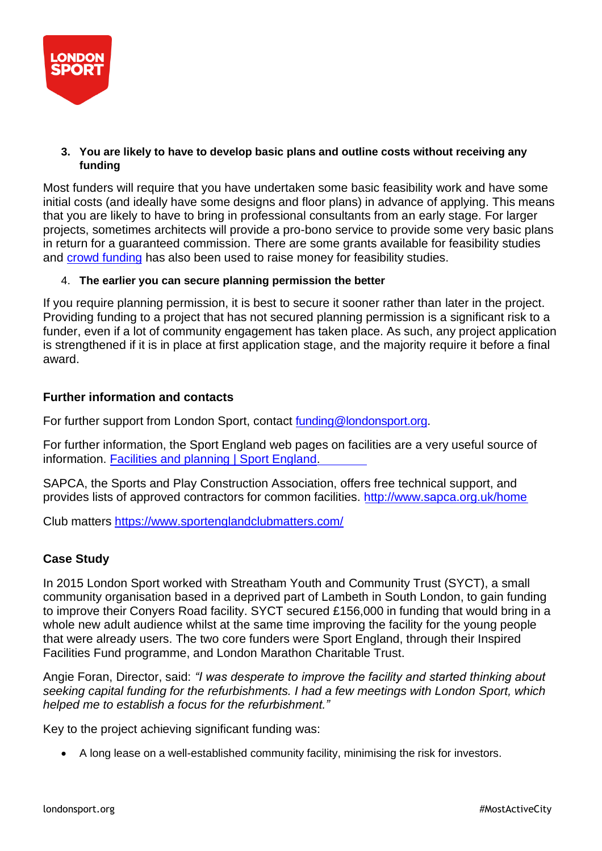

## **3. You are likely to have to develop basic plans and outline costs without receiving any funding**

Most funders will require that you have undertaken some basic feasibility work and have some initial costs (and ideally have some designs and floor plans) in advance of applying. This means that you are likely to have to bring in professional consultants from an early stage. For larger projects, sometimes architects will provide a pro-bono service to provide some very basic plans in return for a guaranteed commission. There are some grants available for feasibility studies and crowd [funding](http://londonsport.org/raise-money-through-crowd-funding/) has also been used to raise money for feasibility studies.

### 4. **The earlier you can secure planning permission the better**

If you require planning permission, it is best to secure it sooner rather than later in the project. Providing funding to a project that has not secured planning permission is a significant risk to a funder, even if a lot of community engagement has taken place. As such, any project application is strengthened if it is in place at first application stage, and the majority require it before a final award.

### **Further information and contacts**

For further support from London Sport, contact [funding@londonsport.org.](mailto:funding@londonsport.org)

For further information, the Sport England web pages on facilities are a very useful source of information. [Facilities and planning | Sport England.](https://www.sportengland.org/how-we-can-help/facilities-and-planning)

SAPCA, the Sports and Play Construction Association, offers free technical support, and provides lists of approved contractors for common facilities. <http://www.sapca.org.uk/home>

Club matters <https://www.sportenglandclubmatters.com/>

## **Case Study**

In 2015 London Sport worked with Streatham Youth and Community Trust (SYCT), a small community organisation based in a deprived part of Lambeth in South London, to gain funding to improve their Conyers Road facility. SYCT secured £156,000 in funding that would bring in a whole new adult audience whilst at the same time improving the facility for the young people that were already users. The two core funders were Sport England, through their Inspired Facilities Fund programme, and London Marathon Charitable Trust.

Angie Foran, Director, said: *"I was desperate to improve the facility and started thinking about seeking capital funding for the refurbishments. I had a few meetings with London Sport, which helped me to establish a focus for the refurbishment."*

Key to the project achieving significant funding was:

• A long lease on a well-established community facility, minimising the risk for investors.